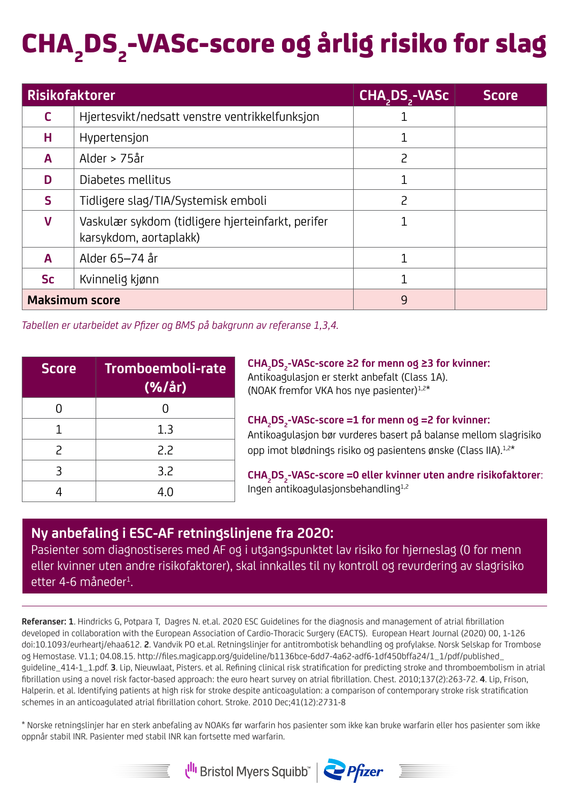## CHA<sub>2</sub>DS<sub>2</sub>-VASc-score og årlig risiko for slag

| <b>Risikofaktorer</b> |                                                                             | CHA, DS,-VASc            | <b>Score</b> |
|-----------------------|-----------------------------------------------------------------------------|--------------------------|--------------|
| c                     | Hjertesvikt/nedsatt venstre ventrikkelfunksjon                              |                          |              |
| н                     | Hypertensjon                                                                |                          |              |
| A                     | Alder > 75år                                                                | $\overline{c}$           |              |
| D                     | Diabetes mellitus                                                           |                          |              |
| s                     | Tidligere slag/TIA/Systemisk emboli                                         | $\overline{\phantom{0}}$ |              |
| v                     | Vaskulær sykdom (tidligere hjerteinfarkt, perifer<br>karsykdom, aortaplakk) |                          |              |
| Α                     | Alder 65-74 år                                                              |                          |              |
| <b>Sc</b>             | Kvinnelig kjønn                                                             |                          |              |
| <b>Maksimum score</b> |                                                                             | 9                        |              |

*Tabellen er utarbeidet av Pfizer og BMS på bakgrunn av referanse 1,3,4.*

| <b>Score</b>             | Tromboemboli-rate<br>(%/ar) |
|--------------------------|-----------------------------|
| N                        |                             |
| 1                        | 1.3                         |
| $\overline{\phantom{0}}$ | 2.2                         |
| Β                        | 3.2                         |
|                          | 4 በ                         |

**CHA2 DS2 -VASc-score ≥2 for menn og ≥3 for kvinner:**  Antikoagulasjon er sterkt anbefalt (Class 1A). (NOAK fremfor VKA hos nye pasienter)1,2\*

CHA<sub>2</sub>DS<sub>2</sub>-VASc-score =1 for menn og =2 for kvinner: Antikoagulasjon bør vurderes basert på balanse mellom slagrisiko opp imot blødnings risiko og pasientens ønske (Class IIA).1,2\*

**CHA2 DS2 -VASc-score =0 eller kvinner uten andre risikofaktorer**: Ingen antikoagulasjonsbehandling1,2

## **Ny anbefaling i ESC-AF retningslinjene fra 2020:**

Pasienter som diagnostiseres med AF og i utgangspunktet lav risiko for hjerneslag (0 for menn eller kvinner uten andre risikofaktorer), skal innkalles til ny kontroll og revurdering av slagrisiko etter 4-6 måneder<sup>1</sup>.

**Referanser: 1**. Hindricks G, Potpara T, Dagres N. et.al. 2020 ESC Guidelines for the diagnosis and management of atrial fibrillation developed in collaboration with the European Association of Cardio-Thoracic Surgery (EACTS). European Heart Journal (2020) 00, 1-126 doi:10.1093/eurheartj/ehaa612. **2**. Vandvik PO et.al. Retningslinjer for antitrombotisk behandling og profylakse. Norsk Selskap for Trombose og Hemostase. V1.1; 04.08.15. http://files.magicapp.org/guideline/b1136bce-6dd7-4a62-adf6-1df450bffa24/1\_1/pdf/published\_ guideline\_414-1\_1.pdf. **3**. Lip, Nieuwlaat, Pisters. et al. Refining clinical risk stratification for predicting stroke and thromboembolism in atrial fibrillation using a novel risk factor-based approach: the euro heart survey on atrial fibrillation. Chest. 2010;137(2):263-72. **4**. Lip, Frison, Halperin. et al. Identifying patients at high risk for stroke despite anticoagulation: a comparison of contemporary stroke risk stratification schemes in an anticoagulated atrial fibrillation cohort. Stroke. 2010 Dec;41(12):2731-8

\* Norske retningslinjer har en sterk anbefaling av NOAKs før warfarin hos pasienter som ikke kan bruke warfarin eller hos pasienter som ikke oppnår stabil INR. Pasienter med stabil INR kan fortsette med warfarin.